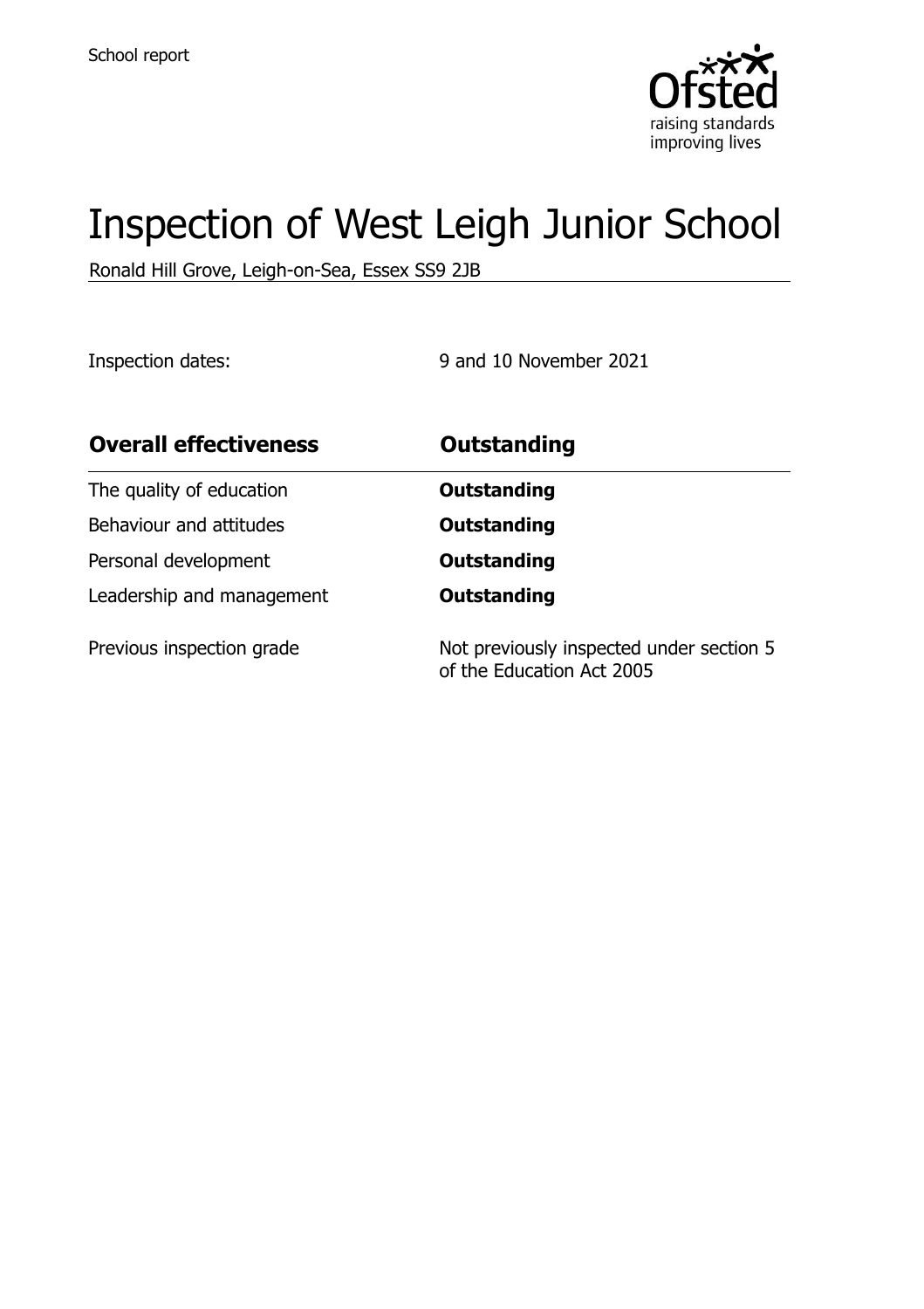

# Inspection of West Leigh Junior School

Ronald Hill Grove, Leigh-on-Sea, Essex SS9 2JB

Inspection dates: 9 and 10 November 2021

| <b>Overall effectiveness</b> | <b>Outstanding</b>                                                    |
|------------------------------|-----------------------------------------------------------------------|
| The quality of education     | <b>Outstanding</b>                                                    |
| Behaviour and attitudes      | <b>Outstanding</b>                                                    |
| Personal development         | <b>Outstanding</b>                                                    |
| Leadership and management    | <b>Outstanding</b>                                                    |
| Previous inspection grade    | Not previously inspected under section 5<br>of the Education Act 2005 |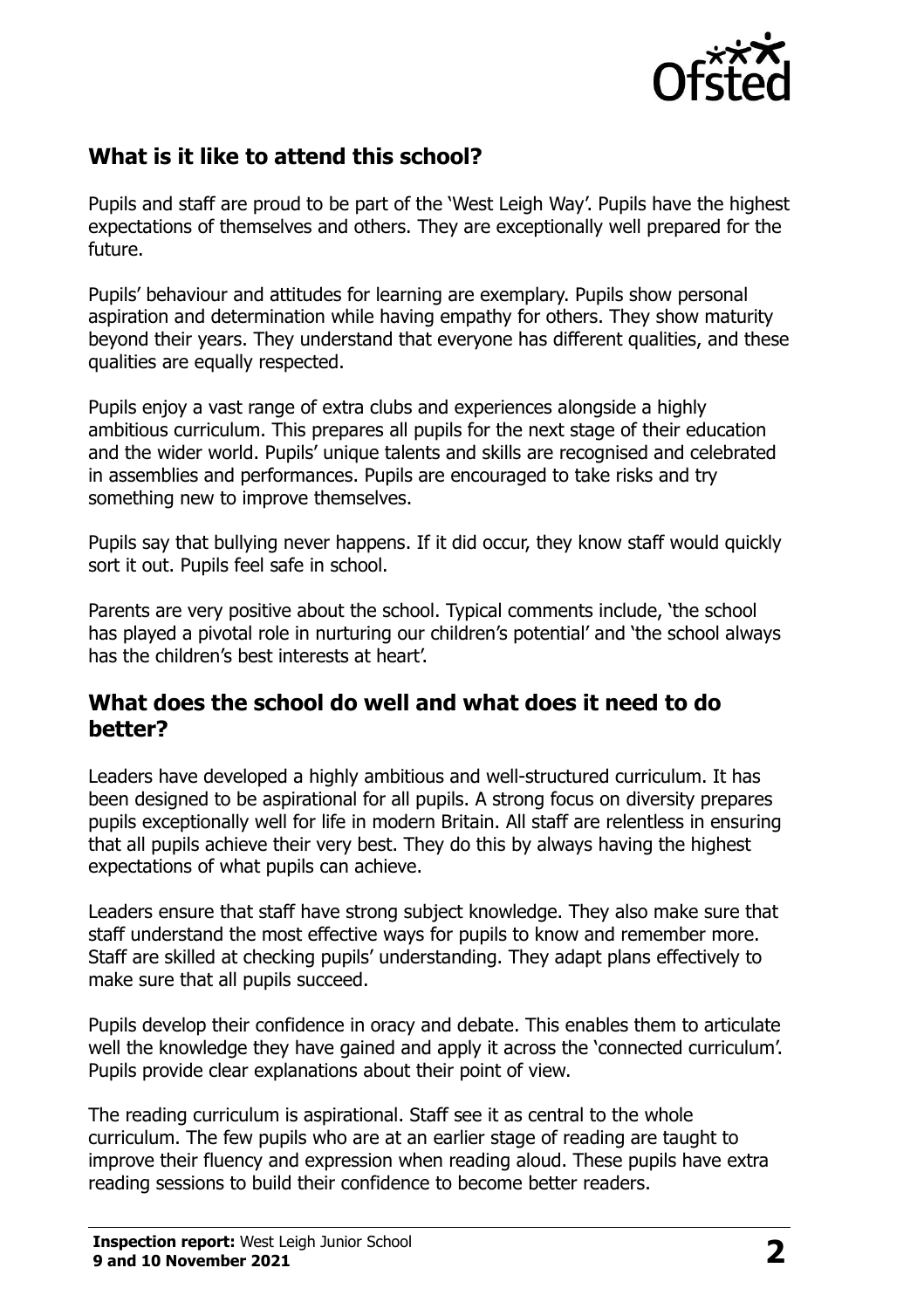

## **What is it like to attend this school?**

Pupils and staff are proud to be part of the 'West Leigh Way'. Pupils have the highest expectations of themselves and others. They are exceptionally well prepared for the future.

Pupils' behaviour and attitudes for learning are exemplary. Pupils show personal aspiration and determination while having empathy for others. They show maturity beyond their years. They understand that everyone has different qualities, and these qualities are equally respected.

Pupils enjoy a vast range of extra clubs and experiences alongside a highly ambitious curriculum. This prepares all pupils for the next stage of their education and the wider world. Pupils' unique talents and skills are recognised and celebrated in assemblies and performances. Pupils are encouraged to take risks and try something new to improve themselves.

Pupils say that bullying never happens. If it did occur, they know staff would quickly sort it out. Pupils feel safe in school.

Parents are very positive about the school. Typical comments include, 'the school has played a pivotal role in nurturing our children's potential' and 'the school always has the children's best interests at heart'.

#### **What does the school do well and what does it need to do better?**

Leaders have developed a highly ambitious and well-structured curriculum. It has been designed to be aspirational for all pupils. A strong focus on diversity prepares pupils exceptionally well for life in modern Britain. All staff are relentless in ensuring that all pupils achieve their very best. They do this by always having the highest expectations of what pupils can achieve.

Leaders ensure that staff have strong subject knowledge. They also make sure that staff understand the most effective ways for pupils to know and remember more. Staff are skilled at checking pupils' understanding. They adapt plans effectively to make sure that all pupils succeed.

Pupils develop their confidence in oracy and debate. This enables them to articulate well the knowledge they have gained and apply it across the 'connected curriculum'. Pupils provide clear explanations about their point of view.

The reading curriculum is aspirational. Staff see it as central to the whole curriculum. The few pupils who are at an earlier stage of reading are taught to improve their fluency and expression when reading aloud. These pupils have extra reading sessions to build their confidence to become better readers.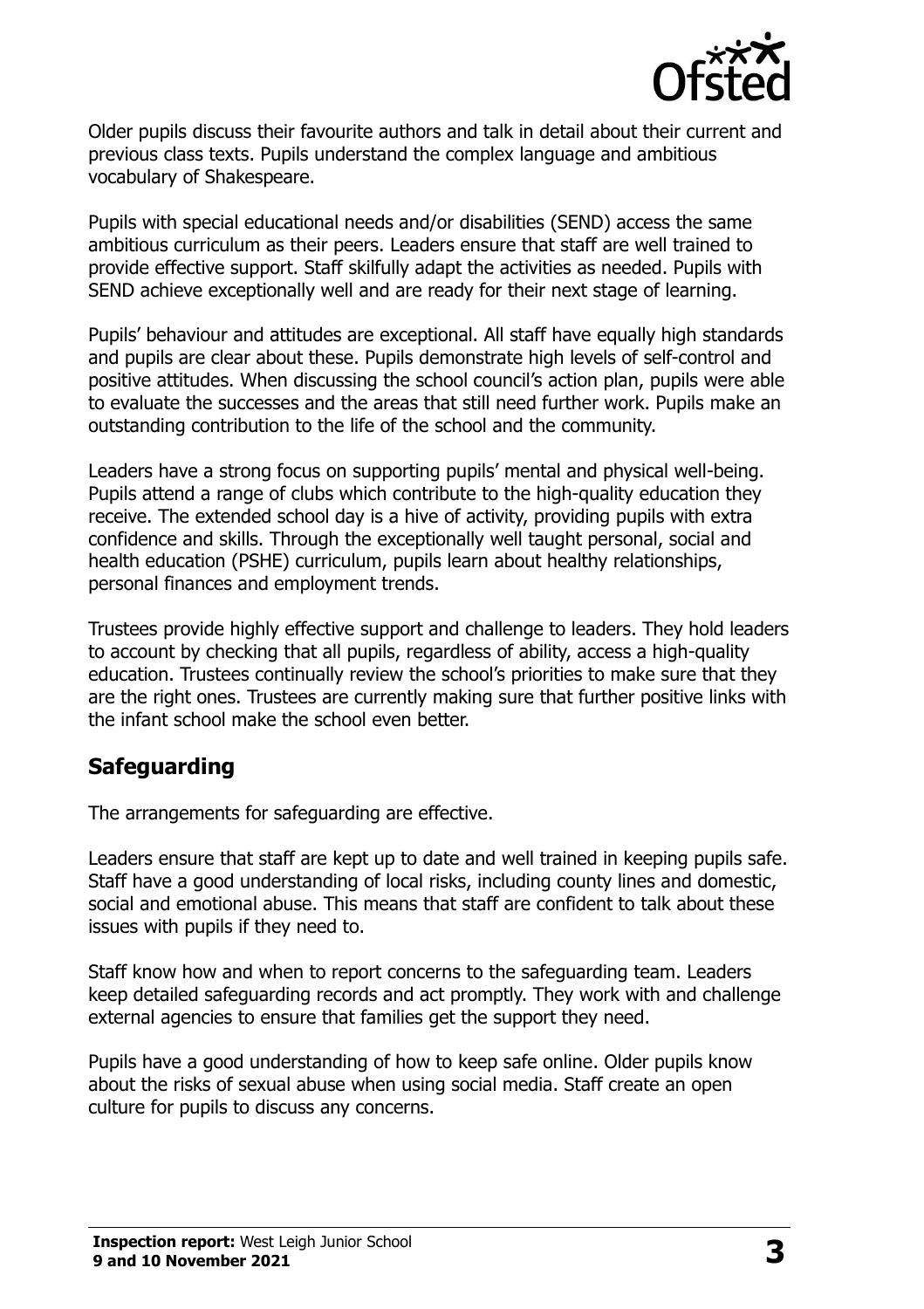

Older pupils discuss their favourite authors and talk in detail about their current and previous class texts. Pupils understand the complex language and ambitious vocabulary of Shakespeare.

Pupils with special educational needs and/or disabilities (SEND) access the same ambitious curriculum as their peers. Leaders ensure that staff are well trained to provide effective support. Staff skilfully adapt the activities as needed. Pupils with SEND achieve exceptionally well and are ready for their next stage of learning.

Pupils' behaviour and attitudes are exceptional. All staff have equally high standards and pupils are clear about these. Pupils demonstrate high levels of self-control and positive attitudes. When discussing the school council's action plan, pupils were able to evaluate the successes and the areas that still need further work. Pupils make an outstanding contribution to the life of the school and the community.

Leaders have a strong focus on supporting pupils' mental and physical well-being. Pupils attend a range of clubs which contribute to the high-quality education they receive. The extended school day is a hive of activity, providing pupils with extra confidence and skills. Through the exceptionally well taught personal, social and health education (PSHE) curriculum, pupils learn about healthy relationships, personal finances and employment trends.

Trustees provide highly effective support and challenge to leaders. They hold leaders to account by checking that all pupils, regardless of ability, access a high-quality education. Trustees continually review the school's priorities to make sure that they are the right ones. Trustees are currently making sure that further positive links with the infant school make the school even better.

## **Safeguarding**

The arrangements for safeguarding are effective.

Leaders ensure that staff are kept up to date and well trained in keeping pupils safe. Staff have a good understanding of local risks, including county lines and domestic, social and emotional abuse. This means that staff are confident to talk about these issues with pupils if they need to.

Staff know how and when to report concerns to the safeguarding team. Leaders keep detailed safeguarding records and act promptly. They work with and challenge external agencies to ensure that families get the support they need.

Pupils have a good understanding of how to keep safe online. Older pupils know about the risks of sexual abuse when using social media. Staff create an open culture for pupils to discuss any concerns.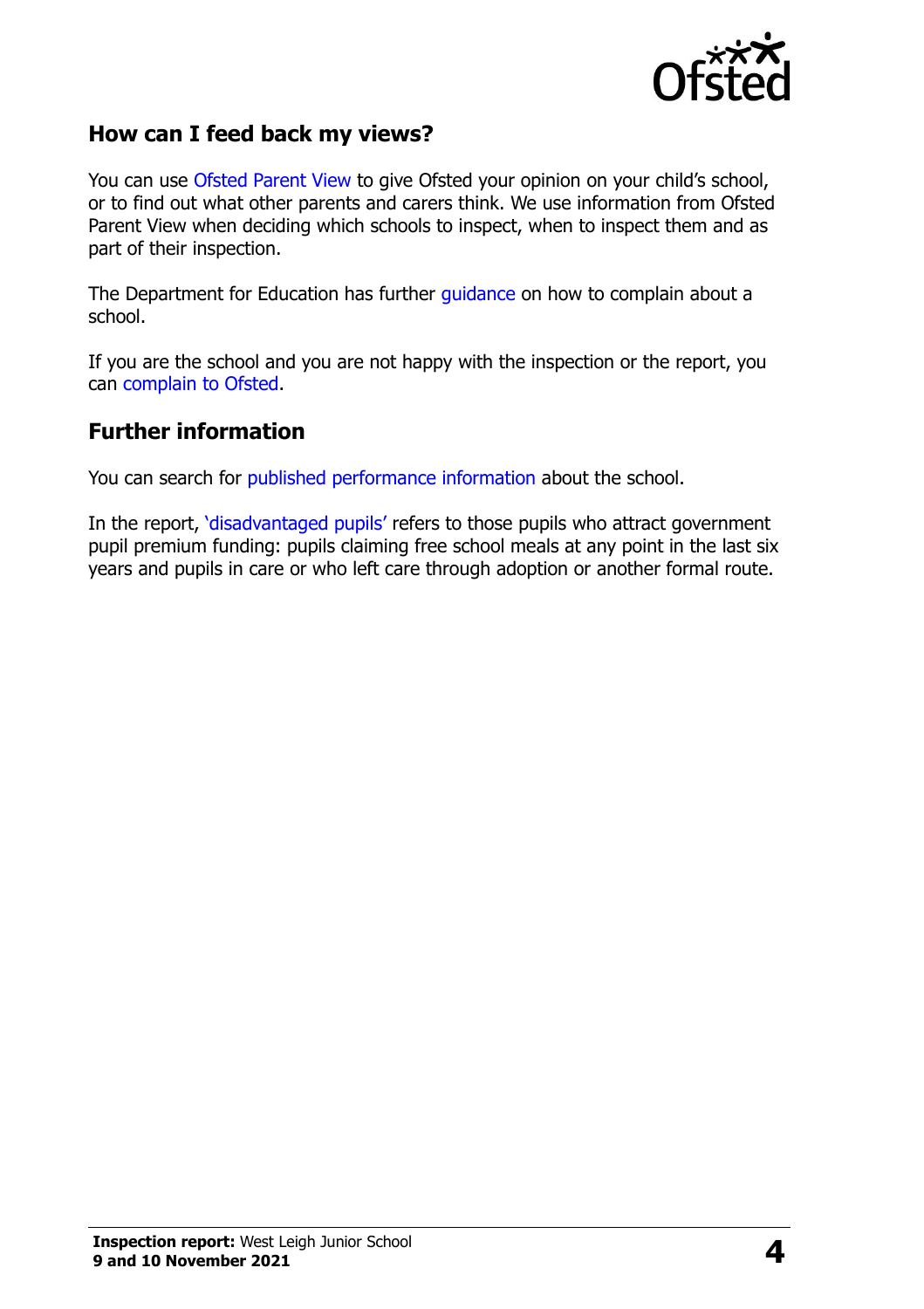

### **How can I feed back my views?**

You can use [Ofsted Parent View](http://parentview.ofsted.gov.uk/) to give Ofsted your opinion on your child's school, or to find out what other parents and carers think. We use information from Ofsted Parent View when deciding which schools to inspect, when to inspect them and as part of their inspection.

The Department for Education has further [guidance](http://www.gov.uk/complain-about-school) on how to complain about a school.

If you are the school and you are not happy with the inspection or the report, you can [complain to Ofsted.](http://www.gov.uk/complain-ofsted-report)

#### **Further information**

You can search for [published performance information](http://www.compare-school-performance.service.gov.uk/) about the school.

In the report, '[disadvantaged pupils](http://www.gov.uk/guidance/pupil-premium-information-for-schools-and-alternative-provision-settings)' refers to those pupils who attract government pupil premium funding: pupils claiming free school meals at any point in the last six years and pupils in care or who left care through adoption or another formal route.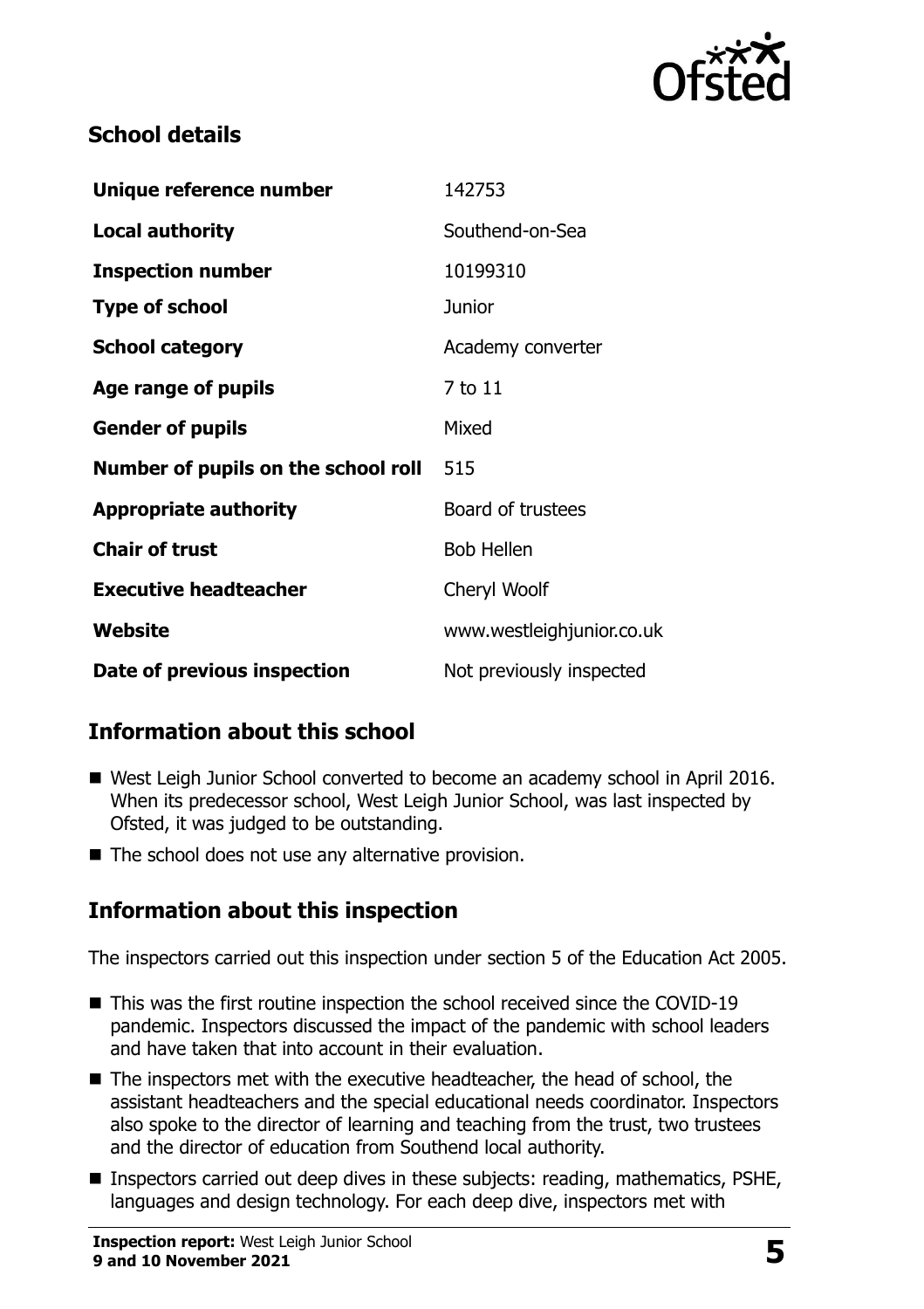

## **School details**

| Unique reference number             | 142753                    |
|-------------------------------------|---------------------------|
| Local authority                     | Southend-on-Sea           |
| <b>Inspection number</b>            | 10199310                  |
| <b>Type of school</b>               | <b>Junior</b>             |
| <b>School category</b>              | Academy converter         |
| Age range of pupils                 | 7 to 11                   |
| <b>Gender of pupils</b>             | Mixed                     |
| Number of pupils on the school roll | 515                       |
| <b>Appropriate authority</b>        | Board of trustees         |
| <b>Chair of trust</b>               | <b>Bob Hellen</b>         |
| <b>Executive headteacher</b>        | Cheryl Woolf              |
| Website                             | www.westleighjunior.co.uk |
| Date of previous inspection         | Not previously inspected  |

## **Information about this school**

- West Leigh Junior School converted to become an academy school in April 2016. When its predecessor school, West Leigh Junior School, was last inspected by Ofsted, it was judged to be outstanding.
- The school does not use any alternative provision.

## **Information about this inspection**

The inspectors carried out this inspection under section 5 of the Education Act 2005.

- This was the first routine inspection the school received since the COVID-19 pandemic. Inspectors discussed the impact of the pandemic with school leaders and have taken that into account in their evaluation.
- The inspectors met with the executive headteacher, the head of school, the assistant headteachers and the special educational needs coordinator. Inspectors also spoke to the director of learning and teaching from the trust, two trustees and the director of education from Southend local authority.
- Inspectors carried out deep dives in these subjects: reading, mathematics, PSHE, languages and design technology. For each deep dive, inspectors met with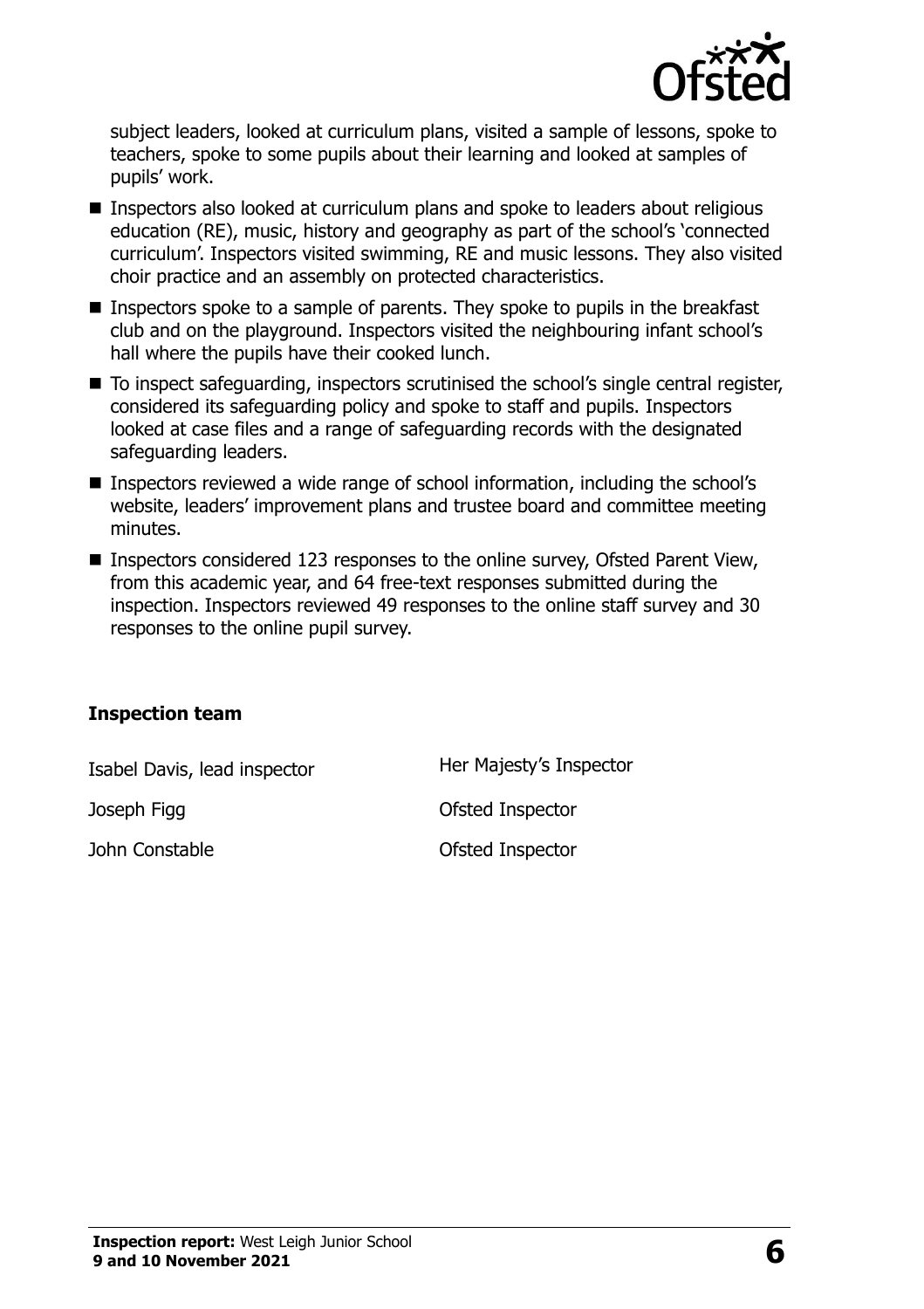

subject leaders, looked at curriculum plans, visited a sample of lessons, spoke to teachers, spoke to some pupils about their learning and looked at samples of pupils' work.

- Inspectors also looked at curriculum plans and spoke to leaders about religious education (RE), music, history and geography as part of the school's 'connected curriculum'. Inspectors visited swimming, RE and music lessons. They also visited choir practice and an assembly on protected characteristics.
- Inspectors spoke to a sample of parents. They spoke to pupils in the breakfast club and on the playground. Inspectors visited the neighbouring infant school's hall where the pupils have their cooked lunch.
- To inspect safeguarding, inspectors scrutinised the school's single central register, considered its safeguarding policy and spoke to staff and pupils. Inspectors looked at case files and a range of safeguarding records with the designated safeguarding leaders.
- Inspectors reviewed a wide range of school information, including the school's website, leaders' improvement plans and trustee board and committee meeting minutes.
- Inspectors considered 123 responses to the online survey, Ofsted Parent View, from this academic year, and 64 free-text responses submitted during the inspection. Inspectors reviewed 49 responses to the online staff survey and 30 responses to the online pupil survey.

#### **Inspection team**

Isabel Davis, lead inspector Her Majesty's Inspector

Joseph Figg distribution of the Ofsted Inspector

John Constable **Constable Constable Ofsted Inspector**